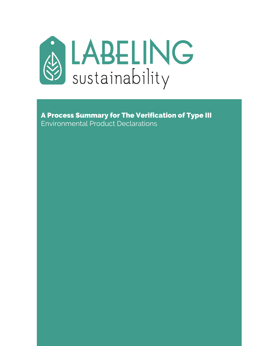

A Process Summary for The Verification of Type III Environmental Product Declarations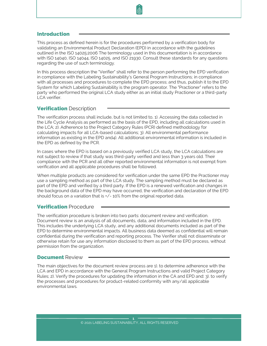#### Introduction

This process as defined herein is for the procedures performed by a verification body for validating an Environmental Product Declaration (EPD) in accordance with the guidelines outlined in the ISO 14025:2006 The terminology used in this documentation is in accordance with ISO 14040, ISO 14044, ISO 14025, and ISO 21930. Consult these standards for any questions regarding the use of such terminology.

In this process description the "Verifier" shall refer to the person performing the EPD verification in compliance with the Labeling Sustainability's General Program Instructions; in compliance with all processes and procedures to complete the EPD process; and thus, publish it to the EPD System for which Labeling Sustainability is the program operator. The "Practioner" refers to the party who performed the original LCA study either as an initial study Practioner or a third-party LCA verifier.

# **Verification Description**

The verification process shall include, but is not limited to, 1). Accessing the data collected in the Life Cycle Analysis as performed as the basis of the EPD, including all calculations used in the LCA; 2). Adherence to the Project Category Rules (PCR) defined methodology for calculating impacts for all LCA-based calculations; 3). All environmental performance information as existing in the EPD and4). All additional environmental information is included in the EPD as defined by the PCR.

In cases where the EPD is based on a previously verified LCA study, the LCA calculations are not subject to review if that study was third-party verified and less than 3 years old. Their compliance with the PCR and all other reported environmental information is not exempt from verification and all applicable procedures shall be followed.

When multiple products are considered for verification under the same EPD the Practioner may use a sampling method as part of the LCA study. The sampling method must be declared as part of the EPD and verified by a third party. If the EPD is a renewed verification and changes in the background data of the EPD may have occurred, the verification and declaration of the EPD should focus on a variation that is +/- 10% from the original reported data.

#### **Verification Procedure**

The verification procedure is broken into two parts: document review and verification. Document review is an analysis of all documents, data, and information included in the EPD. This includes the underlying LCA study, and any additional documents included as part of the EPD to determine environmental impacts. All business data deemed as confidential will remain confidential during the verification and reporting process. The Verifier shall not disseminate or otherwise retain for use any information disclosed to them as part of the EPD process, without permission from the organization.

#### **Document Review**

The main objectives for the document review process are 1). to determine adherence with the LCA and EPD in accordance with the General Program Instructions and valid Project Category Rules; 2). Verify the procedures for updating the information in the CA and EPD and: 3). to verify the processes and procedures for product-related conformity with any/all applicable environmental laws.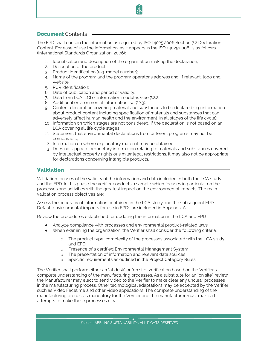### Document Contents

The EPD shall contain the information as required by ISO 14025:2006 Section 7.2 Declaration Content. For ease of use the information, as it appears in the ISO 14025:2006, is as follows (International Standards Organization, 2006):

- 1. Identification and description of the organization making the declaration;
- 2. Description of the product;
- 3. Product identification (e.g. model number);
- 4. Name of the program and the program operator's address and, if relevant, logo and website;
- 5. PCR identification;
- 6. Date of publication and period of validity;
- 7. Data from LCA, LCI or information modules (see 7.2.2):
- 8. Additional environmental information (se 7.2.3):
- 9. Content declaration covering material and substances to be declared (e.g information about product content including specification of materials and substances that can adversely affect human health and the environment, in all stages of the life cycle);
- 10. Information on which stages are not considered, if the declaration is not based on an LCA covering all life cycle stages;
- 11. Statement that environmental declarations from different programs may not be comparable;
- 12. Information on where explanatory material may be obtained.
- 13. Does not apply to proprietary information relating to materials and substances covered by intellectual property rights or similar legal restrictions. It may also not be appropriate for declarations concerning intangible products.

### Validation

Validation focuses of the validity of the information and data included in both the LCA study and the EPD. In this phase the verifier conducts a sample which focuses in particular on the processes and activities with the greatest impact on the environmental impacts. The main validation process objectives are:

Assess the accuracy of information contained in the LCA study and the subsequent EPD. Default environmental impacts for use in EPDs are included in Appendix A.

Review the procedures established for updating the information in the LCA and EPD

- Analyze compliance with processes and environmental product-related laws
- When examining the organization, the Verifier shall consider the following criteria:
	- o The product type, complexity of the processes associated with the LCA study and EPD
	- o Presence of a certified Environmental Management System
	- o The presentation of information and relevant data sources
	- o Specific requirements as outlined in the Project Category Rules

The Verifier shall perform either an "at desk" or "on site" verification based on the Verifier's complete understanding of the manufacturing processes. As a substitute for an "on site" review the Manufacturer may elect to send video to the Verifier to make clear any unclear processes in the manufacturing process. Other technological adaptations may be accepted by the Verifier such as Video Facetime and other video applications. The complete understanding of the manufacturing process is mandatory for the Verifier and the manufacturer must make all attempts to make those processes clear.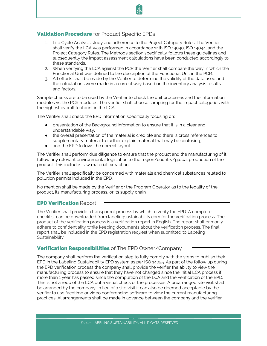## **Validation Procedure** for Product Specific EPDs

- 1. Life Cycle Analysis study and adherence to the Project Category Rules. The Verifier shall verify the LCA was performed in accordance with ISO 14040, ISO 14044, and the Project Category Rules. The Methods section specifically follows these guidelines and subsequently the impact assessment calculations have been conducted accordingly to these standards.
- 2. When verifying the LCA against the PCR the Verifier shall compare the way in which the Functional Unit was defined to the description of the Functional Unit in the PCR.
- 3. All efforts shall be made by the Verifier to determine the validity of the data used and the calculations were made in a correct way based on the inventory analysis results and factors.

Sample checks are to be used by the Verifier to check the unit processes and the information modules vs. the PCR modules. The verifier shall choose sampling for the impact categories with the highest overall footprint in the LCA.

The Verifier shall check the EPD information specifically focusing on:

- presentation of the Background information to ensure that it is in a clear and understandable way,
- the overall presentation of the material is credible and there is cross references to supplementary material to further explain material that may be confusing,
- and the EPD follows the correct layout.

The Verifier shall perform due diligence to ensure that the product and the manufacturing of it follow any relevant environmental legislation to the region/country/global production of the product. This includes raw material extraction.

The Verifier shall specifically be concerned with materials and chemical substances related to pollution permits included in the EPD.

No mention shall be made by the Verifier or the Program Operator as to the legality of the product, its manufacturing process, or its supply chain.

#### **EPD Verification Report**

The Verifier shall provide a transparent process by which to verify the EPD. A complete checklist can be downloaded from labelingsustainability.com for the verification process. The product of the verification process is a verification report in English. The report shall primarily adhere to confidentiality while keeping documents about the verification process. The final report shall be included in the EPD registration request when submitted to Labeling Sustainability.

## Verification Responsibilities of The EPD Owner/Company

The company shall perform the verification step to fully comply with the steps to publish their EPD in the Labeling Sustainability EPD system as per ISO 14025. As part of the follow up during the EPD verification process the company shall provide the verifier the ability to view the manufacturing process to ensure that they have not changed since the initial LCA process if more than 1 year has passed since the completion of the LCA and the verification of the EPD. This is not a redo of the LCA but a visual check of the processes. A prearranged site visit shall be arranged by the company. In lieu of a site visit it can also be deemed acceptable by the verifier to use facetime or video conferencing software to view the current manufacturing practices. Al arrangements shall be made in advance between the company and the verifier.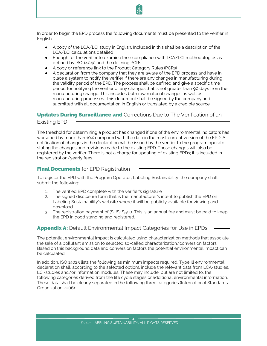In order to begin the EPD process the following documents must be presented to the verifier in English:

- A copy of the LCA/LCI study in English. Included in this shall be a description of the LCA/LCI calculations detailed
- Enough for the verifier to examine their compliance with LCA/LCI methodologies as defined by ISO 14040 and the defining PCRs.
- A copy or reference link to the Product Category Rules (PCRs)
- A declaration from the company that they are aware of the EPD process and have in place a system to notify the verifier if there are any changes in manufacturing during the validity period of the EPD. The process shall be defined and give a specific time period for notifying the verifier of any changes that is not greater than 90 days from the manufacturing change. This includes both raw material changes as well as manufacturing processes. This document shall be signed by the company and submitted with all documentation in English or translated by a credible source.

# **Updates During Surveillance and** Corrections Due to The Verification of an

Existing EPD

The threshold for determining a product has changed if one of the environmental indicators has worsened by more than 10% compared with the data in the most current version of the EPD. A notification of changes in the declaration will be issued by the verifier to the program operator stating the changes and revisions made to the existing EPD. Those changes will also be registered by the verifier. There is not a charge for updating of existing EPDs; it is included in the registration/yearly fees.

## **Final Documents** for EPD Registration

To register the EPD with the Program Operator, Labeling Sustainability, the company shall submit the following:

- 1. The verified EPD complete with the verifier's signature
- 2. The signed disclosure form that is the manufacturer's intent to publish the EPD on Labeling Sustainability's website where it will be publicly available for viewing and download.
- 3. The registration payment of (\$US) \$500. This is an annual fee and must be paid to keep the EPD in good standing and registered.

# **Appendix A:** Default Environmental Impact Categories for Use in EPDs

The potential environmental impact is calculated using characterization methods that associate the sale of a pollutant emission to selected so-called characterization/conversion factors. Based on this background data and conversion factors the potential environmental impact can be calculated.

In addition, ISO 14025 lists the following as minimum impacts required. Type Ill environmental declaration shall, according to the selected option), include the relevant data from LCA-studies, LCI-studies and/or information modules. These may include, but are not limited to, the following categories derived from the life cycle stages or additional environmental information. These data shall be clearly separated in the following three categories (International Standards Organization,2006):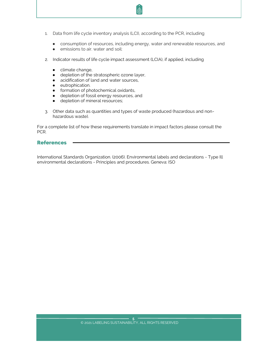- 1. Data from life cycle inventory analysis (LCI), according to the PCR, including
	- consumption of resources, including energy, water and renewable resources, and
	- emissions to air. water and soil:
- 2. Indicator results of life cycle impact assessment (LCIA), if applied, including
	- climate change,
	- depletion of the stratospheric ozone layer,
	- acidification of land and water sources,
	- eutrophication.
	- **•** formation of photochemical oxidants,
	- depletion of fossil energy resources, and
	- **•** depletion of mineral resources;
- 3. Other data such as quantities and types of waste produced (hazardous and nonhazardous waste).

For a complete list of how these requirements translate in impact factors please consult the PCR.

#### References

International Standards Organization. (2006). Environmental labels and declarations - Type Ill environmental declarations - Principles and procedures. Geneva: ISO